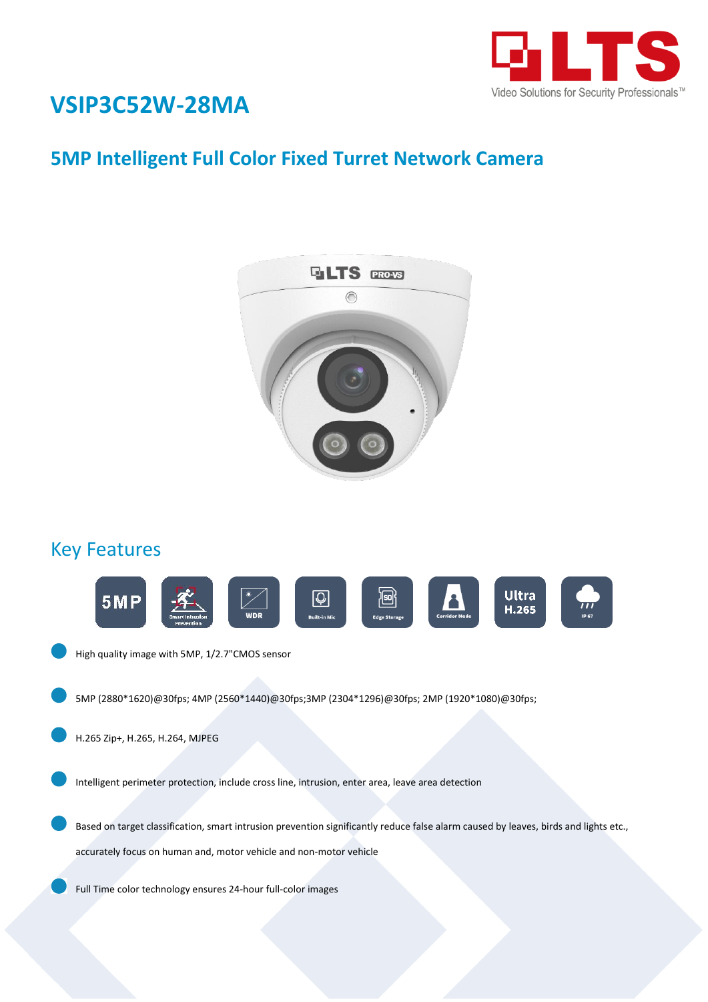

## **VSIP3C52W-28MA**

## **5MP Intelligent Full Color Fixed Turret Network Camera**



#### Key Features



High quality image with 5MP, 1/2.7"CMOS sensor

5MP (2880\*1620)@30fps; 4MP (2560\*1440)@30fps;3MP (2304\*1296)@30fps; 2MP (1920\*1080)@30fps;

H.265 Zip+, H.265, H.264, MJPEG

Intelligent perimeter protection, include cross line, intrusion, enter area, leave area detection

Based on target classification, smart intrusion prevention significantly reduce false alarm caused by leaves, birds and lights etc., accurately focus on human and, motor vehicle and non-motor vehicle

Full Time color technology ensures 24-hour full-color images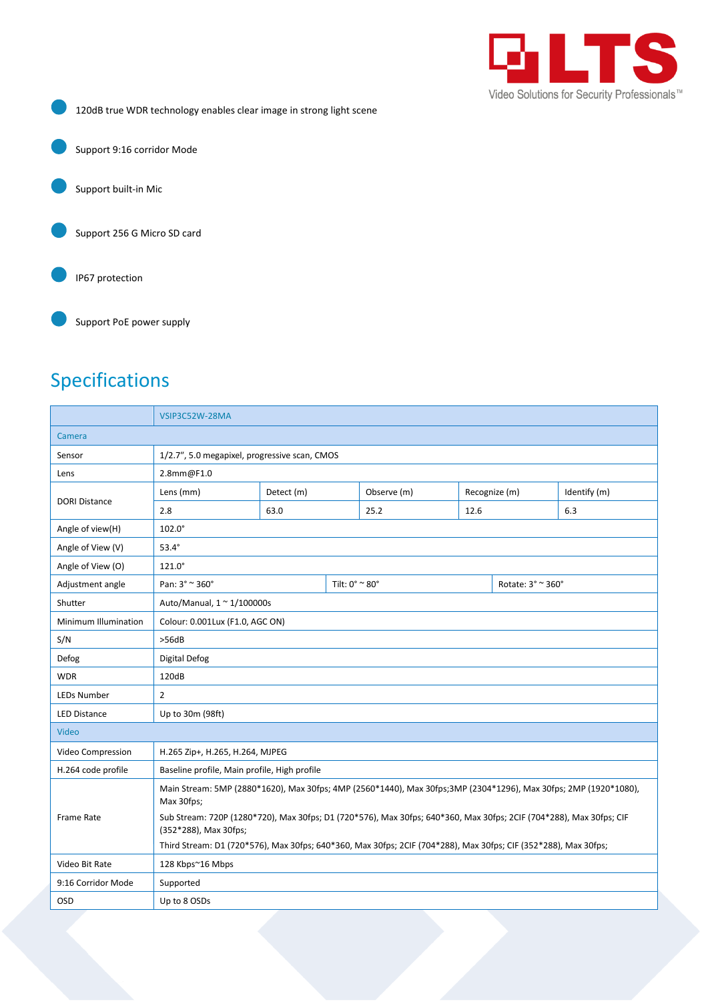

120dB true WDR technology enables clear image in strong light scene

Support 9:16 corridor Mode

Support built-in Mic

Support 256 G Micro SD card

IP67 protection

Support PoE power supply

## Specifications

| VSIP3C52W-28MA                                                                                                                                                                                                                                                                                      |                  |  |             |                                  |                   |                                                                                                                 |  |
|-----------------------------------------------------------------------------------------------------------------------------------------------------------------------------------------------------------------------------------------------------------------------------------------------------|------------------|--|-------------|----------------------------------|-------------------|-----------------------------------------------------------------------------------------------------------------|--|
| Camera                                                                                                                                                                                                                                                                                              |                  |  |             |                                  |                   |                                                                                                                 |  |
| 1/2.7", 5.0 megapixel, progressive scan, CMOS                                                                                                                                                                                                                                                       |                  |  |             |                                  |                   |                                                                                                                 |  |
| 2.8mm@F1.0                                                                                                                                                                                                                                                                                          |                  |  |             |                                  |                   |                                                                                                                 |  |
| Lens (mm)                                                                                                                                                                                                                                                                                           | Detect (m)       |  | Observe (m) | Recognize (m)                    |                   | Identify (m)                                                                                                    |  |
| 2.8                                                                                                                                                                                                                                                                                                 | 63.0             |  | 25.2        | 12.6                             |                   | 6.3                                                                                                             |  |
| $102.0^\circ$                                                                                                                                                                                                                                                                                       |                  |  |             |                                  |                   |                                                                                                                 |  |
| $53.4^\circ$                                                                                                                                                                                                                                                                                        |                  |  |             |                                  |                   |                                                                                                                 |  |
| $121.0^\circ$                                                                                                                                                                                                                                                                                       |                  |  |             |                                  |                   |                                                                                                                 |  |
| Pan: 3° ~ 360°                                                                                                                                                                                                                                                                                      |                  |  |             |                                  | Rotate: 3° ~ 360° |                                                                                                                 |  |
| Auto/Manual, 1 ~ 1/100000s                                                                                                                                                                                                                                                                          |                  |  |             |                                  |                   |                                                                                                                 |  |
| Minimum Illumination<br>Colour: 0.001Lux (F1.0, AGC ON)                                                                                                                                                                                                                                             |                  |  |             |                                  |                   |                                                                                                                 |  |
| >56dB                                                                                                                                                                                                                                                                                               |                  |  |             |                                  |                   |                                                                                                                 |  |
| Digital Defog                                                                                                                                                                                                                                                                                       |                  |  |             |                                  |                   |                                                                                                                 |  |
| 120dB                                                                                                                                                                                                                                                                                               |                  |  |             |                                  |                   |                                                                                                                 |  |
| $\overline{2}$                                                                                                                                                                                                                                                                                      |                  |  |             |                                  |                   |                                                                                                                 |  |
| Up to 30m (98ft)                                                                                                                                                                                                                                                                                    |                  |  |             |                                  |                   |                                                                                                                 |  |
| Video                                                                                                                                                                                                                                                                                               |                  |  |             |                                  |                   |                                                                                                                 |  |
| H.265 Zip+, H.265, H.264, MJPEG                                                                                                                                                                                                                                                                     |                  |  |             |                                  |                   |                                                                                                                 |  |
| Baseline profile, Main profile, High profile                                                                                                                                                                                                                                                        |                  |  |             |                                  |                   |                                                                                                                 |  |
| Main Stream: 5MP (2880*1620), Max 30fps; 4MP (2560*1440), Max 30fps;3MP (2304*1296), Max 30fps; 2MP (1920*1080),<br>Max 30fps;<br><b>Frame Rate</b><br>Sub Stream: 720P (1280*720), Max 30fps; D1 (720*576), Max 30fps; 640*360, Max 30fps; 2CIF (704*288), Max 30fps; CIF<br>(352*288), Max 30fps; |                  |  |             |                                  |                   |                                                                                                                 |  |
|                                                                                                                                                                                                                                                                                                     |                  |  |             |                                  |                   |                                                                                                                 |  |
| Supported                                                                                                                                                                                                                                                                                           |                  |  |             |                                  |                   |                                                                                                                 |  |
| Up to 8 OSDs                                                                                                                                                                                                                                                                                        |                  |  |             |                                  |                   |                                                                                                                 |  |
|                                                                                                                                                                                                                                                                                                     | 128 Kbps~16 Mbps |  |             | Tilt: $0^\circ \approx 80^\circ$ |                   | Third Stream: D1 (720*576), Max 30fps; 640*360, Max 30fps; 2CIF (704*288), Max 30fps; CIF (352*288), Max 30fps; |  |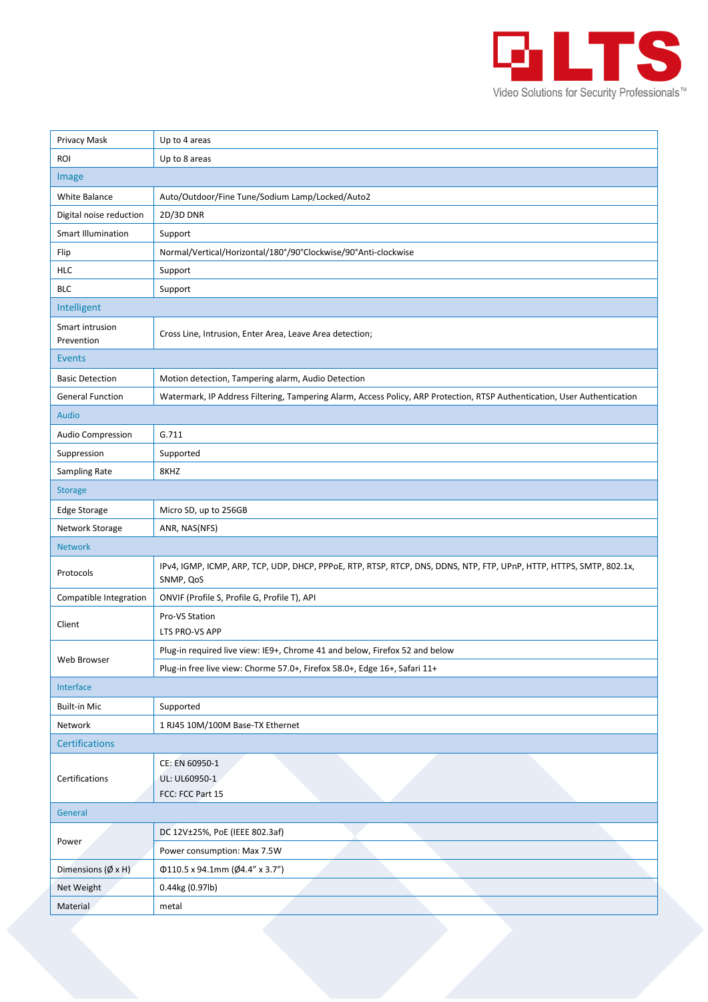

| Privacy Mask                      | Up to 4 areas                                                                                                                     |  |  |  |  |  |
|-----------------------------------|-----------------------------------------------------------------------------------------------------------------------------------|--|--|--|--|--|
| <b>ROI</b>                        | Up to 8 areas                                                                                                                     |  |  |  |  |  |
| Image                             |                                                                                                                                   |  |  |  |  |  |
| White Balance                     | Auto/Outdoor/Fine Tune/Sodium Lamp/Locked/Auto2                                                                                   |  |  |  |  |  |
| Digital noise reduction           | 2D/3D DNR                                                                                                                         |  |  |  |  |  |
| <b>Smart Illumination</b>         | Support                                                                                                                           |  |  |  |  |  |
| Flip                              | Normal/Vertical/Horizontal/180°/90°Clockwise/90°Anti-clockwise                                                                    |  |  |  |  |  |
| <b>HLC</b>                        | Support                                                                                                                           |  |  |  |  |  |
| <b>BLC</b>                        | Support                                                                                                                           |  |  |  |  |  |
| Intelligent                       |                                                                                                                                   |  |  |  |  |  |
| Smart intrusion<br>Prevention     | Cross Line, Intrusion, Enter Area, Leave Area detection;                                                                          |  |  |  |  |  |
| <b>Events</b>                     |                                                                                                                                   |  |  |  |  |  |
| <b>Basic Detection</b>            | Motion detection, Tampering alarm, Audio Detection                                                                                |  |  |  |  |  |
| <b>General Function</b>           | Watermark, IP Address Filtering, Tampering Alarm, Access Policy, ARP Protection, RTSP Authentication, User Authentication         |  |  |  |  |  |
| <b>Audio</b>                      |                                                                                                                                   |  |  |  |  |  |
| Audio Compression                 | G.711                                                                                                                             |  |  |  |  |  |
| Suppression                       | Supported                                                                                                                         |  |  |  |  |  |
| Sampling Rate                     | 8KHZ                                                                                                                              |  |  |  |  |  |
| <b>Storage</b>                    |                                                                                                                                   |  |  |  |  |  |
| <b>Edge Storage</b>               | Micro SD, up to 256GB                                                                                                             |  |  |  |  |  |
| Network Storage                   | ANR, NAS(NFS)                                                                                                                     |  |  |  |  |  |
| <b>Network</b>                    |                                                                                                                                   |  |  |  |  |  |
| Protocols                         | IPv4, IGMP, ICMP, ARP, TCP, UDP, DHCP, PPPoE, RTP, RTSP, RTCP, DNS, DDNS, NTP, FTP, UPnP, HTTP, HTTPS, SMTP, 802.1x,<br>SNMP, QoS |  |  |  |  |  |
| Compatible Integration            | ONVIF (Profile S, Profile G, Profile T), API                                                                                      |  |  |  |  |  |
| Client                            | Pro-VS Station<br>LTS PRO-VS APP                                                                                                  |  |  |  |  |  |
|                                   | Plug-in required live view: IE9+, Chrome 41 and below, Firefox 52 and below                                                       |  |  |  |  |  |
| Web Browser                       | Plug-in free live view: Chorme 57.0+, Firefox 58.0+, Edge 16+, Safari 11+                                                         |  |  |  |  |  |
| Interface                         |                                                                                                                                   |  |  |  |  |  |
| <b>Built-in Mic</b>               | Supported                                                                                                                         |  |  |  |  |  |
| Network                           | 1 RJ45 10M/100M Base-TX Ethernet                                                                                                  |  |  |  |  |  |
| <b>Certifications</b>             |                                                                                                                                   |  |  |  |  |  |
| Certifications                    | CE: EN 60950-1<br>UL: UL60950-1<br>FCC: FCC Part 15                                                                               |  |  |  |  |  |
| General                           |                                                                                                                                   |  |  |  |  |  |
| Power                             | DC 12V±25%, PoE (IEEE 802.3af)                                                                                                    |  |  |  |  |  |
|                                   | Power consumption: Max 7.5W                                                                                                       |  |  |  |  |  |
| Dimensions $(\emptyset \times H)$ | Φ110.5 x 94.1mm (Ø4.4" x 3.7")                                                                                                    |  |  |  |  |  |
|                                   |                                                                                                                                   |  |  |  |  |  |
| Net Weight                        | 0.44kg (0.97lb)                                                                                                                   |  |  |  |  |  |